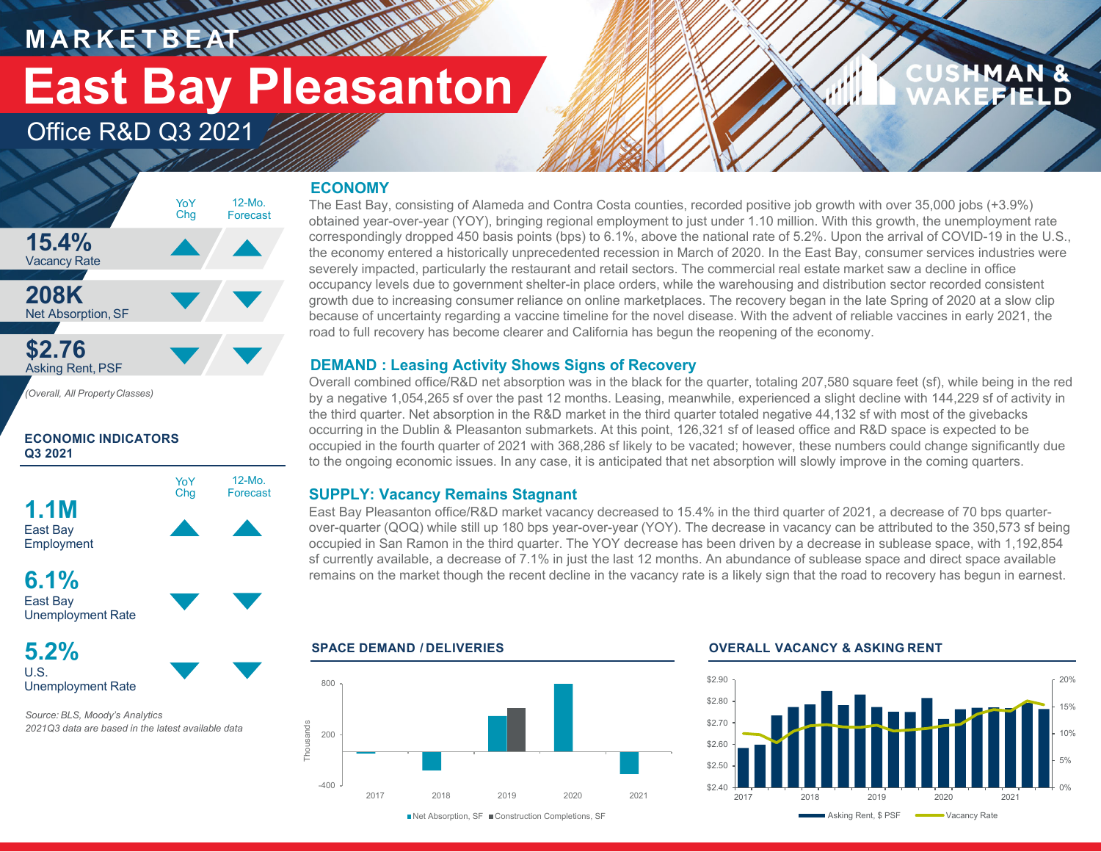**M A R K E T B E AT**

# **East Bay Pleasanton**

### Office R&D Q3 2021

### **ECONOMY**

**HARRY AND AN** 



*(Overall, All PropertyClasses)*

#### **ECONOMIC INDICATORS Q3 2021**



#### **6.1%**East Bay Unemployment Rate

**5.2%**U.S.Unemployment Rate

*Source: BLS, Moody's Analytics 2021Q3 data are based in the latest available data* The East Bay, consisting of Alameda and Contra Costa counties, recorded positive job growth with over 35,000 jobs (+3.9%) obtained year-over-year (YOY), bringing regional employment to just under 1.10 million. With this growth, the unemployment rate correspondingly dropped 450 basis points (bps) to 6.1%, above the national rate of 5.2%. Upon the arrival of COVID-19 in the U.S., the economy entered a historically unprecedented recession in March of 2020. In the East Bay, consumer services industries were severely impacted, particularly the restaurant and retail sectors. The commercial real estate market saw a decline in office occupancy levels due to government shelter-in place orders, while the warehousing and distribution sector recorded consistent growth due to increasing consumer reliance on online marketplaces. The recovery began in the late Spring of 2020 at a slow clip because of uncertainty regarding a vaccine timeline for the novel disease. With the advent of reliable vaccines in early 2021, the road to full recovery has become clearer and California has begun the reopening of the economy.

#### **DEMAND : Leasing Activity Shows Signs of Recovery**

Overall combined office/R&D net absorption was in the black for the quarter, totaling 207,580 square feet (sf), while being in the red by a negative 1,054,265 sf over the past 12 months. Leasing, meanwhile, experienced a slight decline with 144,229 sf of activity in the third quarter. Net absorption in the R&D market in the third quarter totaled negative 44,132 sf with most of the givebacks occurring in the Dublin & Pleasanton submarkets. At this point, 126,321 sf of leased office and R&D space is expected to be occupied in the fourth quarter of 2021 with 368,286 sf likely to be vacated; however, these numbers could change significantly due to the ongoing economic issues. In any case, it is anticipated that net absorption will slowly improve in the coming quarters.

#### **SUPPLY: Vacancy Remains Stagnant**

East Bay Pleasanton office/R&D market vacancy decreased to 15.4% in the third quarter of 2021, a decrease of 70 bps quarterover-quarter (QOQ) while still up 180 bps year-over-year (YOY). The decrease in vacancy can be attributed to the 350,573 sf being occupied in San Ramon in the third quarter. The YOY decrease has been driven by a decrease in sublease space, with 1,192,854 sf currently available, a decrease of 7.1% in just the last 12 months. An abundance of sublease space and direct space available remains on the market though the recent decline in the vacancy rate is a likely sign that the road to recovery has begun in earnest.



#### **SPACE DEMAND / DELIVERIES OVERALL VACANCY & ASKING RENT**



MAN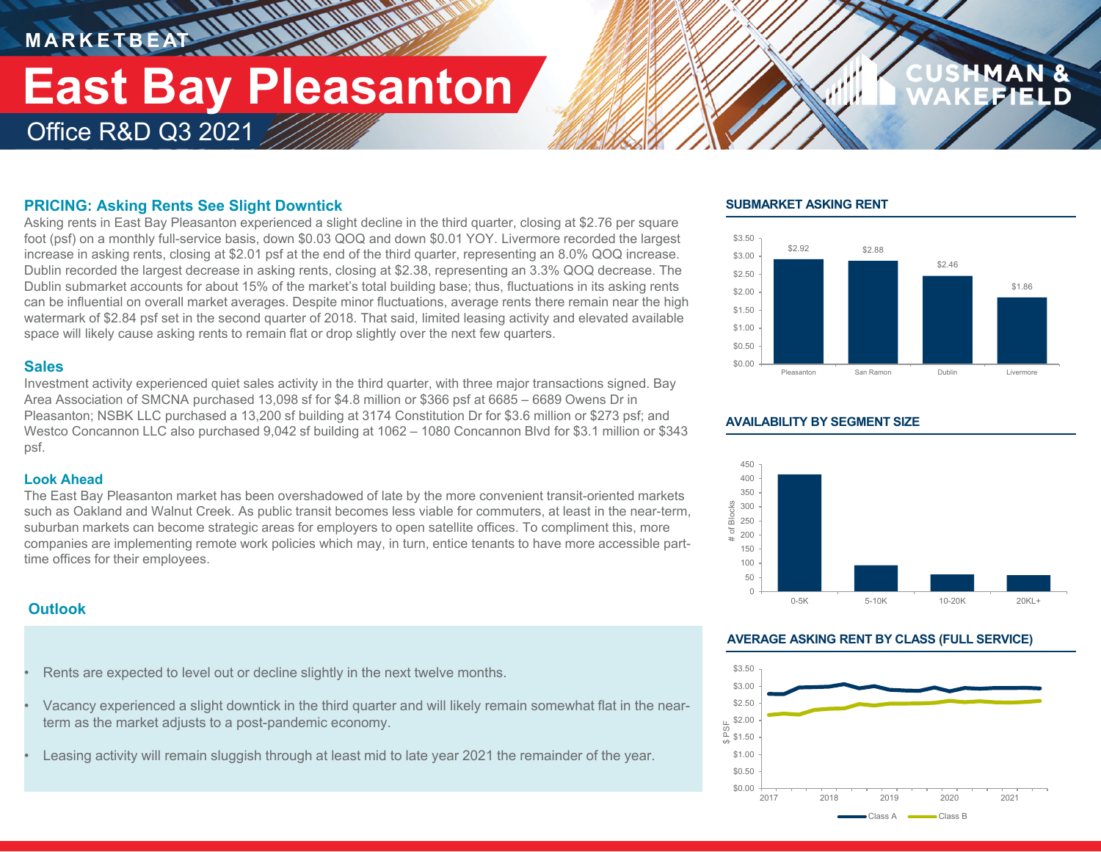### **M A R K E T B E AT** Office R&D Q3 2021 **East Bay Pleasanton**

*<u>MANTH</u>INE* 

#### **PRICING: Asking Rents See Slight Downtick**

Asking rents in East Bay Pleasanton experienced a slight decline in the third quarter, closing at \$2.76 per square foot (psf) on a monthly full-service basis, down \$0.03 QOQ and down \$0.01 YOY. Livermore recorded the largest increase in asking rents, closing at \$2.01 psf at the end of the third quarter, representing an 8.0% QOQ increase. Dublin recorded the largest decrease in asking rents, closing at \$2.38, representing an 3.3% QOQ decrease. The Dublin submarket accounts for about 15% of the market's total building base; thus, fluctuations in its asking rents can be influential on overall market averages. Despite minor fluctuations, average rents there remain near the high watermark of \$2.84 psf set in the second quarter of 2018. That said, limited leasing activity and elevated available space will likely cause asking rents to remain flat or drop slightly over the next few quarters.

#### **Sales**

Investment activity experienced quiet sales activity in the third quarter, with three major transactions signed. Bay Area Association of SMCNA purchased 13,098 sf for \$4.8 million or \$366 psf at 6685 – 6689 Owens Dr in Pleasanton; NSBK LLC purchased a 13,200 sf building at 3174 Constitution Dr for \$3.6 million or \$273 psf; and Westco Concannon LLC also purchased 9,042 sf building at 1062 – 1080 Concannon Blvd for \$3.1 million or \$343 psf.

#### **Look Ahead**

The East Bay Pleasanton market has been overshadowed of late by the more convenient transit-oriented markets such as Oakland and Walnut Creek. As public transit becomes less viable for commuters, at least in the near-term, suburban markets can become strategic areas for employers to open satellite offices. To compliment this, more companies are implementing remote work policies which may, in turn, entice tenants to have more accessible parttime offices for their employees.

#### **Outlook**

- Rents are expected to level out or decline slightly in the next twelve months.
- Vacancy experienced a slight downtick in the third quarter and will likely remain somewhat flat in the nearterm as the market adjusts to a post-pandemic economy.
- Leasing activity will remain sluggish through at least mid to late year 2021 the remainder of the year.

#### **SUBMARKET ASKING RENT**



#### **AVAILABILITY BY SEGMENT SIZE**



#### **AVERAGE ASKING RENT BY CLASS (FULL SERVICE)**

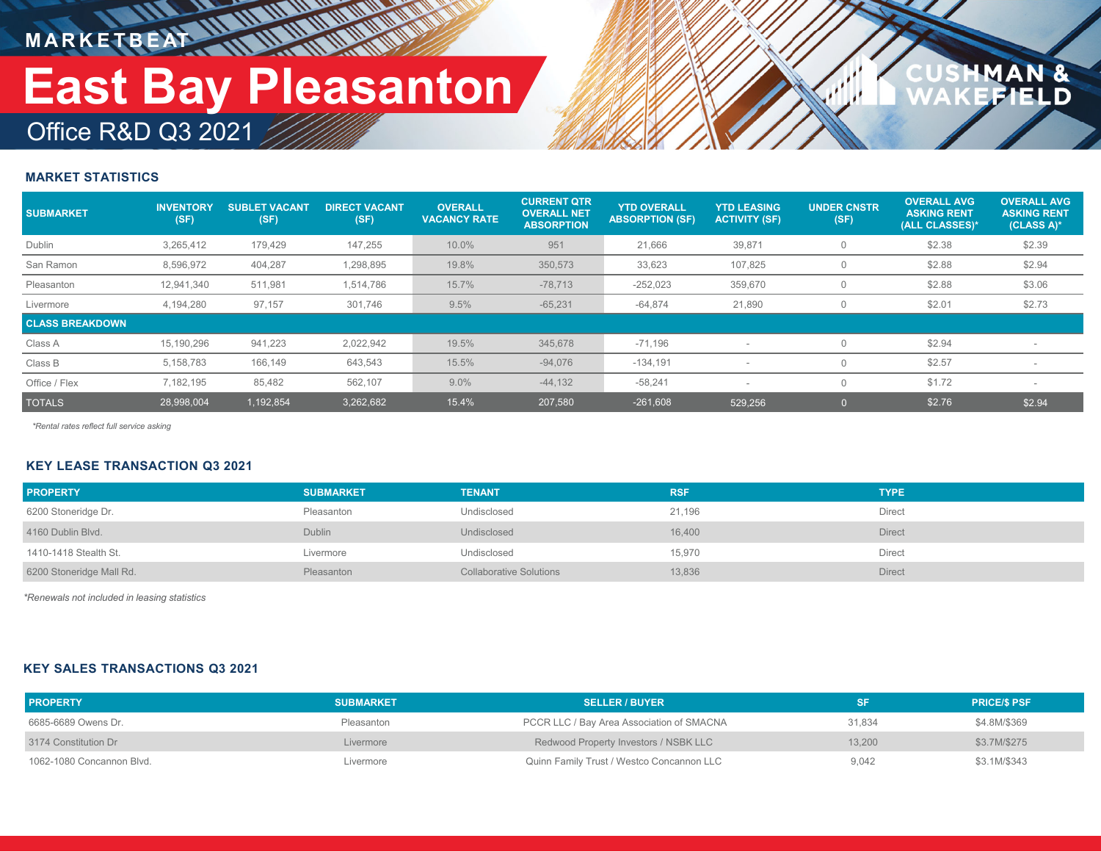**M A R K E T B E AT**

## Office R&D Q3 2021 **East Bay Pleasanton**

### $\frac{a}{D}$

#### **MARKET STATISTICS**

| <b>SUBMARKET</b>       | <b>INVENTORY</b><br>(SF) | <b>SUBLET VACANT</b><br>(SF) | <b>DIRECT VACANT</b><br>(SF) | <b>OVERALL</b><br><b>VACANCY RATE</b> | <b>CURRENT QTR</b><br><b>OVERALL NET</b><br><b>ABSORPTION</b> | <b>YTD OVERALL</b><br><b>ABSORPTION (SF)</b> | <b>YTD LEASING</b><br><b>ACTIVITY (SF)</b> | <b>UNDER CNSTR</b><br>(SF) | <b>OVERALL AVG</b><br><b>ASKING RENT</b><br>(ALL CLASSES)* | <b>OVERALL AVG.</b><br><b>ASKING RENT</b><br>(CLASS A)* |
|------------------------|--------------------------|------------------------------|------------------------------|---------------------------------------|---------------------------------------------------------------|----------------------------------------------|--------------------------------------------|----------------------------|------------------------------------------------------------|---------------------------------------------------------|
| Dublin                 | 3,265,412                | 179,429                      | 147,255                      | 10.0%                                 | 951                                                           | 21,666                                       | 39,871                                     |                            | \$2.38                                                     | \$2.39                                                  |
| San Ramon              | 8,596,972                | 404,287                      | 1,298,895                    | 19.8%                                 | 350,573                                                       | 33,623                                       | 107,825                                    |                            | \$2.88                                                     | \$2.94                                                  |
| Pleasanton             | 12,941,340               | 511,981                      | 1,514,786                    | 15.7%                                 | $-78,713$                                                     | $-252,023$                                   | 359,670                                    |                            | \$2.88                                                     | \$3.06                                                  |
| Livermore              | 4.194.280                | 97,157                       | 301,746                      | 9.5%                                  | $-65,231$                                                     | $-64,874$                                    | 21,890                                     |                            | \$2.01                                                     | \$2.73                                                  |
| <b>CLASS BREAKDOWN</b> |                          |                              |                              |                                       |                                                               |                                              |                                            |                            |                                                            |                                                         |
| Class A                | 15,190,296               | 941,223                      | 2,022,942                    | 19.5%                                 | 345,678                                                       | $-71,196$                                    |                                            |                            | \$2.94                                                     |                                                         |
| Class B                | 5,158,783                | 166,149                      | 643,543                      | 15.5%                                 | $-94,076$                                                     | $-134,191$                                   |                                            |                            | \$2.57                                                     |                                                         |
| Office / Flex          | 7,182,195                | 85,482                       | 562,107                      | 9.0%                                  | $-44,132$                                                     | $-58,241$                                    |                                            |                            | \$1.72                                                     |                                                         |
| <b>TOTALS</b>          | 28,998,004               | 1,192,854                    | 3,262,682                    | 15.4%                                 | 207,580                                                       | $-261,608$                                   | 529.256                                    |                            | \$2.76                                                     | \$2.94                                                  |

*\*Rental rates reflect full service asking*

#### **KEY LEASE TRANSACTION Q3 2021**

| <b>PROPERTY</b>          | <b>SUBMARKET</b> | <b>TENANT</b>                  | <b>RSF</b> | <b>TYPE</b>   |
|--------------------------|------------------|--------------------------------|------------|---------------|
| 6200 Stoneridge Dr.      | Pleasanton       | Undisclosed                    | 21,196     | Direct        |
| 4160 Dublin Blvd.        | <b>Dublin</b>    | Undisclosed                    | 16,400     | Direct        |
| 1410-1418 Stealth St.    | Livermore        | Undisclosed                    | 15,970     | Direct        |
| 6200 Stoneridge Mall Rd. | Pleasanton       | <b>Collaborative Solutions</b> | 13,836     | <b>Direct</b> |

*\*Renewals not included in leasing statistics*

#### **KEY SALES TRANSACTIONS Q3 2021**

| <b>PROPERTY</b>           | <b>SUBMARKET</b> | <b>SELLER / BUYER</b>                     |        | <b>PRICE/S PSF</b> |
|---------------------------|------------------|-------------------------------------------|--------|--------------------|
| 6685-6689 Owens Dr.       | Pleasanton       | PCCR LLC / Bay Area Association of SMACNA | 31.834 | \$4.8M/\$369       |
| 3174 Constitution Dr      | Livermore        | Redwood Property Investors / NSBK LLC     | 13.200 | \$3.7M/\$275       |
| 1062-1080 Concannon Blvd. | Livermore        | Quinn Family Trust / Westco Concannon LLC | 9.042  | \$3.1M/\$343       |